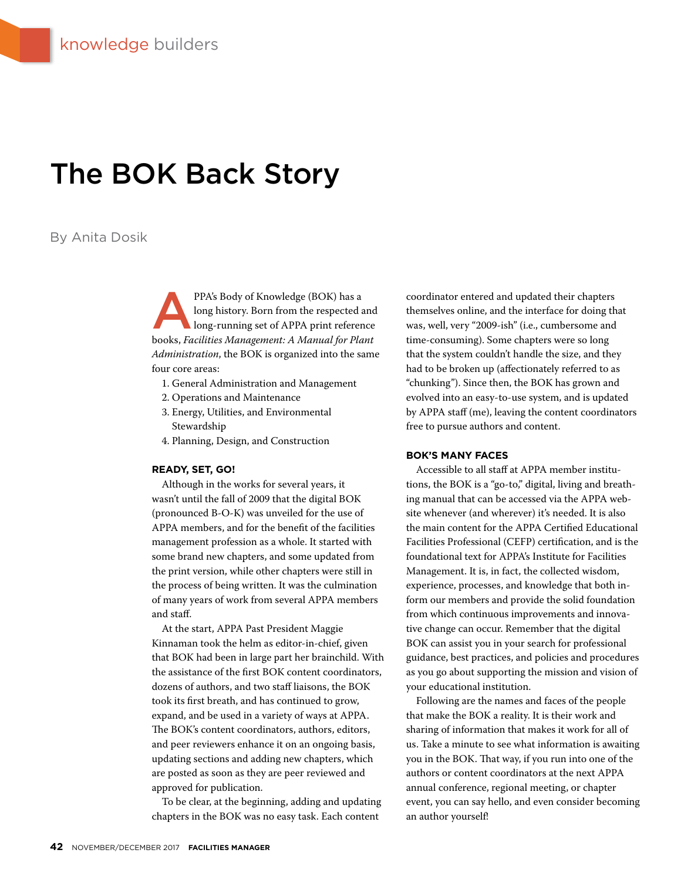# The BOK Back Story

#### By Anita Dosik

PPA's Body of Knowledge (BOK) has a<br>long history. Born from the respected a<br>long-running set of APPA print referer long history. Born from the respected and long-running set of APPA print reference books, *Facilities Management: A Manual for Plant Administration*, the BOK is organized into the same four core areas:

- 1. General Administration and Management
- 2. Operations and Maintenance
- 3. Energy, Utilities, and Environmental Stewardship
- 4. Planning, Design, and Construction

#### **READY, SET, GO!**

Although in the works for several years, it wasn't until the fall of 2009 that the digital BOK (pronounced B-O-K) was unveiled for the use of APPA members, and for the benefit of the facilities management profession as a whole. It started with some brand new chapters, and some updated from the print version, while other chapters were still in the process of being written. It was the culmination of many years of work from several APPA members and staff.

At the start, APPA Past President Maggie Kinnaman took the helm as editor-in-chief, given that BOK had been in large part her brainchild. With the assistance of the first BOK content coordinators, dozens of authors, and two staff liaisons, the BOK took its first breath, and has continued to grow, expand, and be used in a variety of ways at APPA. The BOK's content coordinators, authors, editors, and peer reviewers enhance it on an ongoing basis, updating sections and adding new chapters, which are posted as soon as they are peer reviewed and approved for publication.

To be clear, at the beginning, adding and updating chapters in the BOK was no easy task. Each content

coordinator entered and updated their chapters themselves online, and the interface for doing that was, well, very "2009-ish" (i.e., cumbersome and time-consuming). Some chapters were so long that the system couldn't handle the size, and they had to be broken up (affectionately referred to as "chunking"). Since then, the BOK has grown and evolved into an easy-to-use system, and is updated by APPA staff (me), leaving the content coordinators free to pursue authors and content.

#### **BOK'S MANY FACES**

Accessible to all staff at APPA member institutions, the BOK is a "go-to," digital, living and breathing manual that can be accessed via the APPA website whenever (and wherever) it's needed. It is also the main content for the APPA Certified Educational Facilities Professional (CEFP) certification, and is the foundational text for APPA's Institute for Facilities Management. It is, in fact, the collected wisdom, experience, processes, and knowledge that both inform our members and provide the solid foundation from which continuous improvements and innovative change can occur. Remember that the digital BOK can assist you in your search for professional guidance, best practices, and policies and procedures as you go about supporting the mission and vision of your educational institution.

Following are the names and faces of the people that make the BOK a reality. It is their work and sharing of information that makes it work for all of us. Take a minute to see what information is awaiting you in the BOK. That way, if you run into one of the authors or content coordinators at the next APPA annual conference, regional meeting, or chapter event, you can say hello, and even consider becoming an author yourself!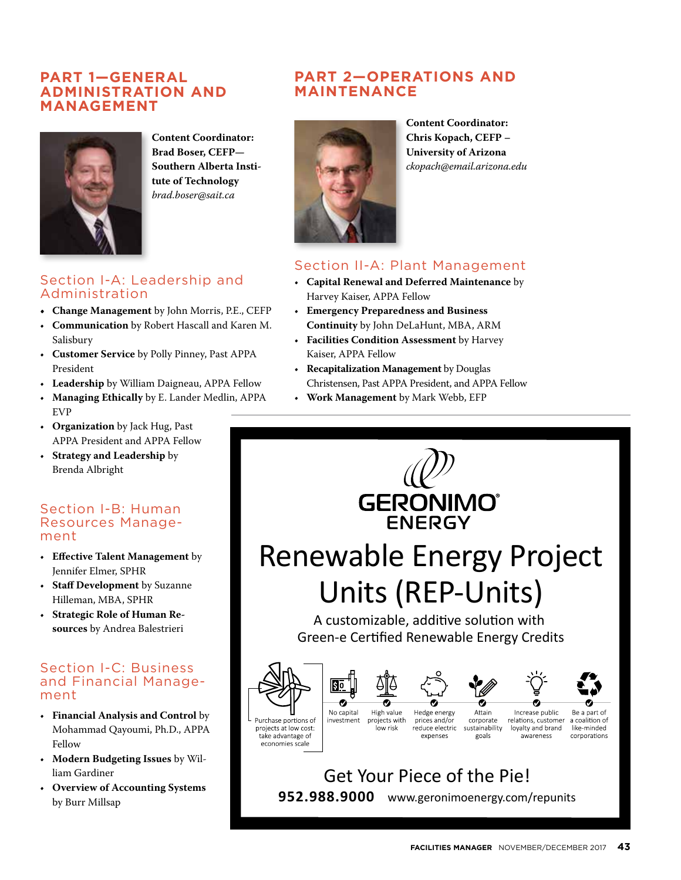#### **PART 1—GENERAL ADMINISTRATION AND MANAGEMENT**



**Content Coordinator: Brad Boser, CEFP— Southern Alberta Institute of Technology** *brad.boser@sait.ca*

#### Section I-A: Leadership and Administration

- **• Change Management** by John Morris, P.E., CEFP
- **Communication** by Robert Hascall and Karen M. Salisbury
- **Customer Service** by Polly Pinney, Past APPA President
- **Leadership** by William Daigneau, APPA Fellow
- **Managing Ethically** by E. Lander Medlin, APPA EVP
- **Organization** by Jack Hug, Past APPA President and APPA Fellow
- **Strategy and Leadership** by Brenda Albright

#### Section I-B: Human Resources Management

- **Effective Talent Management** by Jennifer Elmer, SPHR
- **Staff Development** by Suzanne Hilleman, MBA, SPHR
- **Strategic Role of Human Resources** by Andrea Balestrieri

#### Section I-C: Business and Financial Management

- **Financial Analysis and Control** by Mohammad Qayoumi, Ph.D., APPA Fellow
- **Modern Budgeting Issues** by William Gardiner
- **Overview of Accounting Systems** by Burr Millsap

## **PART 2—OPERATIONS AND MAINTENANCE**



**Content Coordinator: Chris Kopach, CEFP – University of Arizona** *ckopach@email.arizona.edu*

## Section II-A: Plant Management

- **Capital Renewal and Deferred Maintenance** by Harvey Kaiser, APPA Fellow
- **Emergency Preparedness and Business Continuity** by John DeLaHunt, MBA, ARM
- **Facilities Condition Assessment** by Harvey Kaiser, APPA Fellow
- **Recapitalization Management** by Douglas Christensen, Past APPA President, and APPA Fellow
- **Work Management** by Mark Webb, EFP

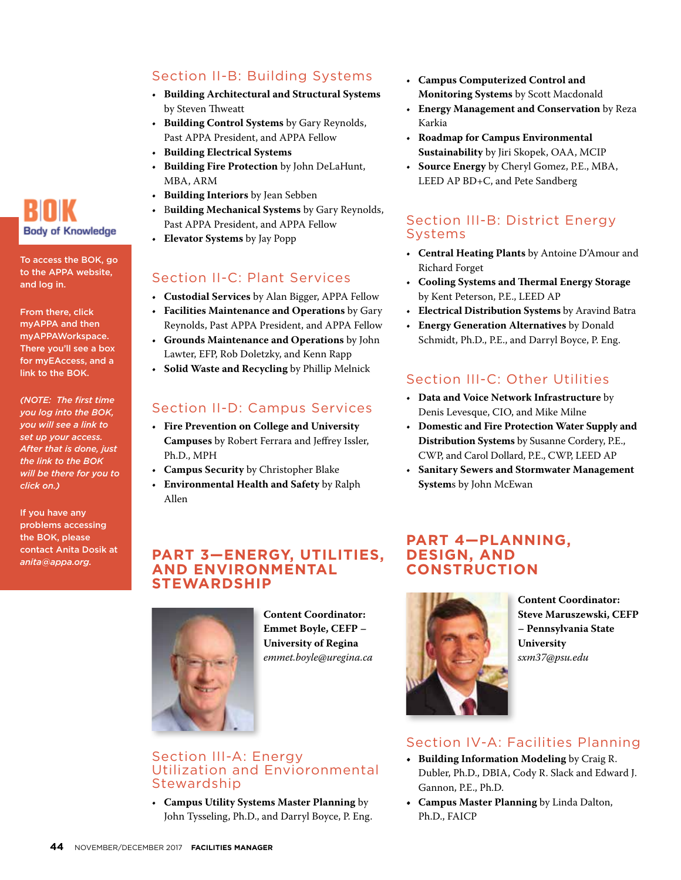#### Section II-B: Building Systems

- **Building Architectural and Structural Systems** by Steven Thweatt
- **Building Control Systems** by Gary Reynolds, Past APPA President, and APPA Fellow
- **Building Electrical Systems**
- **Building Fire Protection** by John DeLaHunt, MBA, ARM
- **Building Interiors** by Jean Sebben
- B**uilding Mechanical Systems** by Gary Reynolds, Past APPA President, and APPA Fellow
- **Elevator Systems** by Jay Popp

#### Section II-C: Plant Services

- **Custodial Services** by Alan Bigger, APPA Fellow
- **Facilities Maintenance and Operations** by Gary Reynolds, Past APPA President, and APPA Fellow
- **Grounds Maintenance and Operations** by John Lawter, EFP, Rob Doletzky, and Kenn Rapp
- **Solid Waste and Recycling** by Phillip Melnick

#### Section II-D: Campus Services

- **Fire Prevention on College and University Campuses** by Robert Ferrara and Jeffrey Issler, Ph.D., MPH
- **Campus Security** by Christopher Blake
- **Environmental Health and Safety** by Ralph Allen

#### • **Campus Computerized Control and Monitoring Systems** by Scott Macdonald

- **Energy Management and Conservation** by Reza Karkia
- **Roadmap for Campus Environmental Sustainability** by Jiri Skopek, OAA, MCIP
- **Source Energy** by Cheryl Gomez, P.E., MBA, LEED AP BD+C, and Pete Sandberg

#### Section III-B: District Energy Systems

- **Central Heating Plants** by Antoine D'Amour and Richard Forget
- **Cooling Systems and Thermal Energy Storage** by Kent Peterson, P.E., LEED AP
- **Electrical Distribution Systems** by Aravind Batra
- **Energy Generation Alternatives** by Donald Schmidt, Ph.D., P.E., and Darryl Boyce, P. Eng.

## Section III-C: Other Utilities

- **Data and Voice Network Infrastructure** by Denis Levesque, CIO, and Mike Milne
- **Domestic and Fire Protection Water Supply and Distribution Systems** by Susanne Cordery, P.E., CWP, and Carol Dollard, P.E., CWP, LEED AP
- **Sanitary Sewers and Stormwater Management System**s by John McEwan

#### **PART 3—ENERGY, UTILITIES, AND ENVIRONMENTAL STEWARDSHIP**



Stewardship

Section III-A: Energy

Utilization and Envioronmental

• **Campus Utility Systems Master Planning** by John Tysseling, Ph.D., and Darryl Boyce, P. Eng.

**Content Coordinator: Emmet Boyle, CEFP – University of Regina** *emmet.boyle@uregina.ca*

#### **PART 4—PLANNING, DESIGN, AND CONSTRUCTION**



**Content Coordinator: Steve Maruszewski, CEFP – Pennsylvania State University** *sxm37@psu.edu*

#### Section IV-A: Facilities Planning

- **• Building Information Modeling** by Craig R. Dubler, Ph.D., DBIA, Cody R. Slack and Edward J. Gannon, P.E., Ph.D.
- **• Campus Master Planning** by Linda Dalton, Ph.D., FAICP



To access the BOK, go to the APPA website, and log in.

From there, click myAPPA and then myAPPAWorkspace. There you'll see a box for myEAccess, and a link to the BOK.

*(NOTE: The first time you log into the BOK, you will see a link to set up your access. After that is done, just the link to the BOK will be there for you to click on.)*

If you have any problems accessing the BOK, please contact Anita Dosik at *anita@appa.org.*